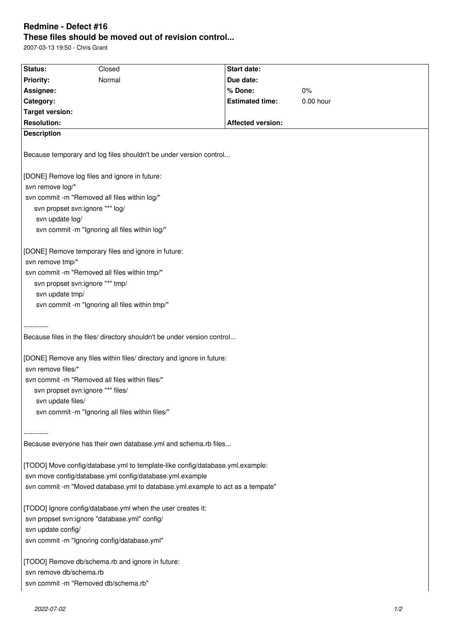## **Redmine - Defect #16 These files should be moved out of revision control...**

2007-03-13 19:50 - Chris Grant

| Status:                                                                        | Closed | Start date:              |           |
|--------------------------------------------------------------------------------|--------|--------------------------|-----------|
| <b>Priority:</b>                                                               | Normal | Due date:                |           |
| Assignee:                                                                      |        | % Done:                  | 0%        |
| Category:                                                                      |        | <b>Estimated time:</b>   | 0.00 hour |
| <b>Target version:</b>                                                         |        |                          |           |
| <b>Resolution:</b>                                                             |        | <b>Affected version:</b> |           |
| <b>Description</b>                                                             |        |                          |           |
| Because temporary and log files shouldn't be under version control             |        |                          |           |
| [DONE] Remove log files and ignore in future:                                  |        |                          |           |
| svn remove log/*                                                               |        |                          |           |
| svn commit -m "Removed all files within log/"                                  |        |                          |           |
| svn propset svn:ignore "*" log/                                                |        |                          |           |
| svn update log/                                                                |        |                          |           |
| svn commit -m "Ignoring all files within log/"                                 |        |                          |           |
|                                                                                |        |                          |           |
| [DONE] Remove temporary files and ignore in future:                            |        |                          |           |
| svn remove tmp/*                                                               |        |                          |           |
| svn commit -m "Removed all files within tmp/"                                  |        |                          |           |
| svn propset svn:ignore "*" tmp/                                                |        |                          |           |
| svn update tmp/                                                                |        |                          |           |
| svn commit -m "Ignoring all files within tmp/"                                 |        |                          |           |
|                                                                                |        |                          |           |
|                                                                                |        |                          |           |
| Because files in the files/ directory shouldn't be under version control       |        |                          |           |
| [DONE] Remove any files within files/ directory and ignore in future:          |        |                          |           |
| svn remove files/*                                                             |        |                          |           |
| svn commit -m "Removed all files within files/"                                |        |                          |           |
| svn propset svn:ignore "*" files/                                              |        |                          |           |
| svn update files/                                                              |        |                          |           |
| svn commit -m "Ignoring all files within files/"                               |        |                          |           |
|                                                                                |        |                          |           |
|                                                                                |        |                          |           |
| Because everyone has their own database.yml and schema.rb files                |        |                          |           |
|                                                                                |        |                          |           |
| [TODO] Move config/database.yml to template-like config/database.yml.example:  |        |                          |           |
| svn move config/database.yml config/database.yml.example                       |        |                          |           |
| svn commit -m "Moved database.yml to database.yml.example to act as a tempate" |        |                          |           |
| [TODO] Ignore config/database.yml when the user creates it:                    |        |                          |           |
| svn propset svn:ignore "database.yml" config/                                  |        |                          |           |
| svn update config/                                                             |        |                          |           |
| svn commit -m "Ignoring config/database.yml"                                   |        |                          |           |
|                                                                                |        |                          |           |
| [TODO] Remove db/schema.rb and ignore in future:                               |        |                          |           |
| svn remove db/schema.rb                                                        |        |                          |           |
| svn commit -m "Removed db/schema.rb"                                           |        |                          |           |
|                                                                                |        |                          |           |